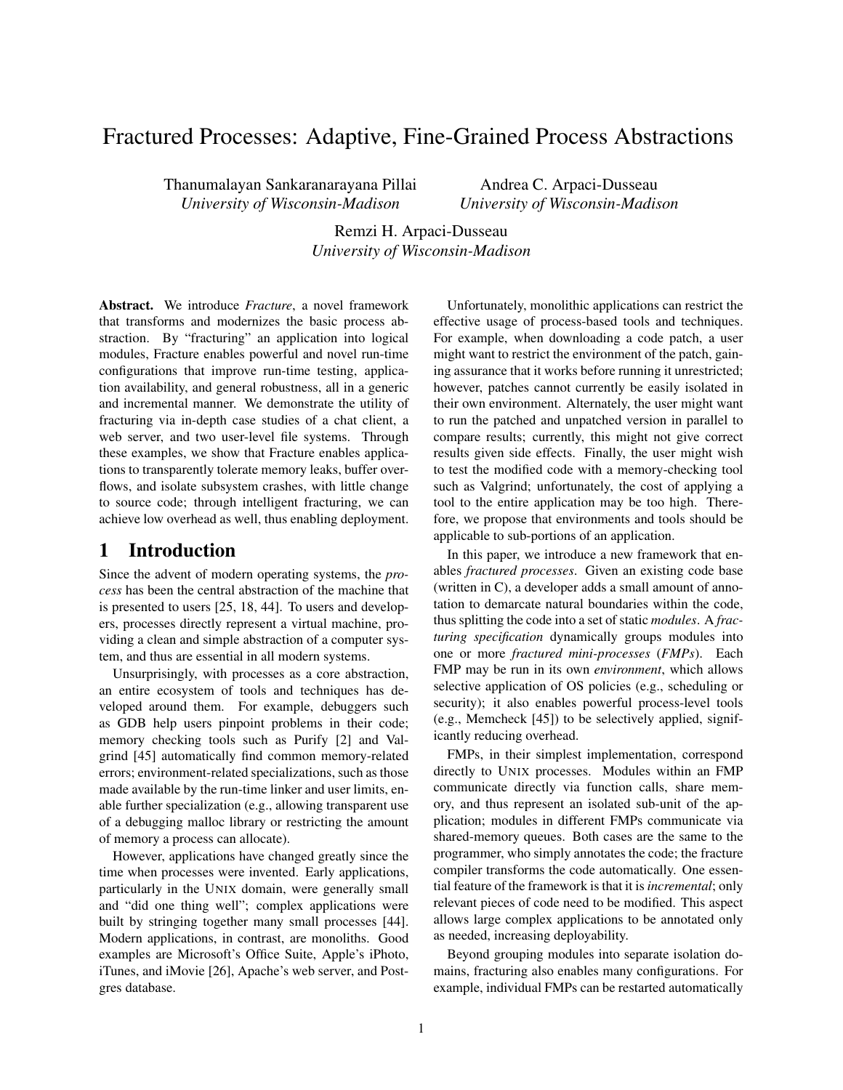# Fractured Processes: Adaptive, Fine-Grained Process Abstractions

Thanumalayan Sankaranarayana Pillai *University of Wisconsin-Madison*

Andrea C. Arpaci-Dusseau *University of Wisconsin-Madison*

Remzi H. Arpaci-Dusseau *University of Wisconsin-Madison*

Abstract. We introduce *Fracture*, a novel framework that transforms and modernizes the basic process abstraction. By "fracturing" an application into logical modules, Fracture enables powerful and novel run-time configurations that improve run-time testing, application availability, and general robustness, all in a generic and incremental manner. We demonstrate the utility of fracturing via in-depth case studies of a chat client, a web server, and two user-level file systems. Through these examples, we show that Fracture enables applications to transparently tolerate memory leaks, buffer overflows, and isolate subsystem crashes, with little change to source code; through intelligent fracturing, we can achieve low overhead as well, thus enabling deployment.

# 1 Introduction

Since the advent of modern operating systems, the *process* has been the central abstraction of the machine that is presented to users [25, 18, 44]. To users and developers, processes directly represent a virtual machine, providing a clean and simple abstraction of a computer system, and thus are essential in all modern systems.

Unsurprisingly, with processes as a core abstraction, an entire ecosystem of tools and techniques has developed around them. For example, debuggers such as GDB help users pinpoint problems in their code; memory checking tools such as Purify [2] and Valgrind [45] automatically find common memory-related errors; environment-related specializations, such as those made available by the run-time linker and user limits, enable further specialization (e.g., allowing transparent use of a debugging malloc library or restricting the amount of memory a process can allocate).

However, applications have changed greatly since the time when processes were invented. Early applications, particularly in the UNIX domain, were generally small and "did one thing well"; complex applications were built by stringing together many small processes [44]. Modern applications, in contrast, are monoliths. Good examples are Microsoft's Office Suite, Apple's iPhoto, iTunes, and iMovie [26], Apache's web server, and Postgres database.

Unfortunately, monolithic applications can restrict the effective usage of process-based tools and techniques. For example, when downloading a code patch, a user might want to restrict the environment of the patch, gaining assurance that it works before running it unrestricted; however, patches cannot currently be easily isolated in their own environment. Alternately, the user might want to run the patched and unpatched version in parallel to compare results; currently, this might not give correct results given side effects. Finally, the user might wish to test the modified code with a memory-checking tool such as Valgrind; unfortunately, the cost of applying a tool to the entire application may be too high. Therefore, we propose that environments and tools should be applicable to sub-portions of an application.

In this paper, we introduce a new framework that enables *fractured processes*. Given an existing code base (written in C), a developer adds a small amount of annotation to demarcate natural boundaries within the code, thus splitting the code into a set of static *modules*. A *fracturing specification* dynamically groups modules into one or more *fractured mini-processes* (*FMPs*). Each FMP may be run in its own *environment*, which allows selective application of OS policies (e.g., scheduling or security); it also enables powerful process-level tools (e.g., Memcheck [45]) to be selectively applied, significantly reducing overhead.

FMPs, in their simplest implementation, correspond directly to UNIX processes. Modules within an FMP communicate directly via function calls, share memory, and thus represent an isolated sub-unit of the application; modules in different FMPs communicate via shared-memory queues. Both cases are the same to the programmer, who simply annotates the code; the fracture compiler transforms the code automatically. One essential feature of the framework is that it is*incremental*; only relevant pieces of code need to be modified. This aspect allows large complex applications to be annotated only as needed, increasing deployability.

Beyond grouping modules into separate isolation domains, fracturing also enables many configurations. For example, individual FMPs can be restarted automatically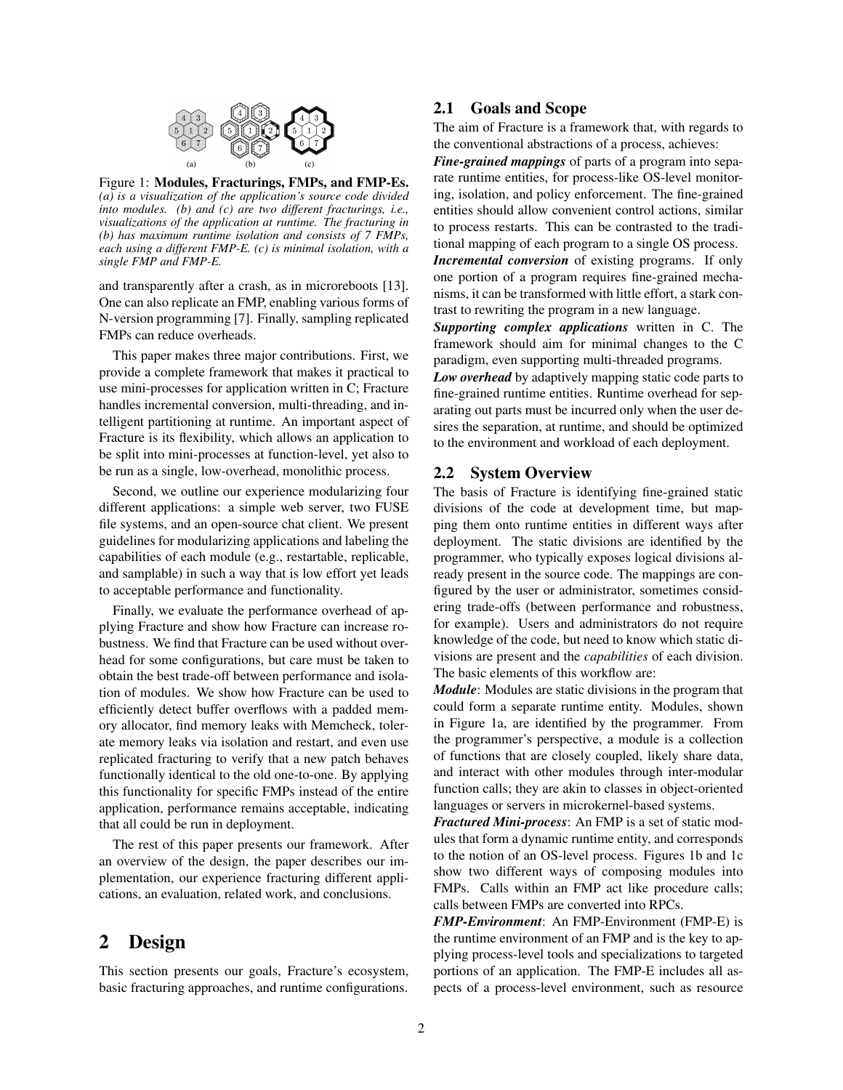

Figure 1: Modules, Fracturings, FMPs, and FMP-Es. *(a) is a visualization of the application's source code divided into modules. (b) and (c) are two different fracturings, i.e., visualizations of the application at runtime. The fracturing in (b) has maximum runtime isolation and consists of 7 FMPs, each using a different FMP-E. (c) is minimal isolation, with a single FMP and FMP-E.*

and transparently after a crash, as in microreboots [13]. One can also replicate an FMP, enabling various forms of N-version programming [7]. Finally, sampling replicated FMPs can reduce overheads.

This paper makes three major contributions. First, we provide a complete framework that makes it practical to use mini-processes for application written in C; Fracture handles incremental conversion, multi-threading, and intelligent partitioning at runtime. An important aspect of Fracture is its flexibility, which allows an application to be split into mini-processes at function-level, yet also to be run as a single, low-overhead, monolithic process.

Second, we outline our experience modularizing four different applications: a simple web server, two FUSE file systems, and an open-source chat client. We present guidelines for modularizing applications and labeling the capabilities of each module (e.g., restartable, replicable, and samplable) in such a way that is low effort yet leads to acceptable performance and functionality.

Finally, we evaluate the performance overhead of applying Fracture and show how Fracture can increase robustness. We find that Fracture can be used without overhead for some configurations, but care must be taken to obtain the best trade-off between performance and isolation of modules. We show how Fracture can be used to efficiently detect buffer overflows with a padded memory allocator, find memory leaks with Memcheck, tolerate memory leaks via isolation and restart, and even use replicated fracturing to verify that a new patch behaves functionally identical to the old one-to-one. By applying this functionality for specific FMPs instead of the entire application, performance remains acceptable, indicating that all could be run in deployment.

The rest of this paper presents our framework. After an overview of the design, the paper describes our implementation, our experience fracturing different applications, an evaluation, related work, and conclusions.

# 2 Design

This section presents our goals, Fracture's ecosystem, basic fracturing approaches, and runtime configurations.

## 2.1 Goals and Scope

The aim of Fracture is a framework that, with regards to the conventional abstractions of a process, achieves:

*Fine-grained mappings* of parts of a program into separate runtime entities, for process-like OS-level monitoring, isolation, and policy enforcement. The fine-grained entities should allow convenient control actions, similar to process restarts. This can be contrasted to the traditional mapping of each program to a single OS process.

*Incremental conversion* of existing programs. If only one portion of a program requires fine-grained mechanisms, it can be transformed with little effort, a stark contrast to rewriting the program in a new language.

*Supporting complex applications* written in C. The framework should aim for minimal changes to the C paradigm, even supporting multi-threaded programs.

*Low overhead* by adaptively mapping static code parts to fine-grained runtime entities. Runtime overhead for separating out parts must be incurred only when the user desires the separation, at runtime, and should be optimized to the environment and workload of each deployment.

# 2.2 System Overview

The basis of Fracture is identifying fine-grained static divisions of the code at development time, but mapping them onto runtime entities in different ways after deployment. The static divisions are identified by the programmer, who typically exposes logical divisions already present in the source code. The mappings are configured by the user or administrator, sometimes considering trade-offs (between performance and robustness, for example). Users and administrators do not require knowledge of the code, but need to know which static divisions are present and the *capabilities* of each division. The basic elements of this workflow are:

*Module*: Modules are static divisions in the program that could form a separate runtime entity. Modules, shown in Figure 1a, are identified by the programmer. From the programmer's perspective, a module is a collection of functions that are closely coupled, likely share data, and interact with other modules through inter-modular function calls; they are akin to classes in object-oriented languages or servers in microkernel-based systems.

*Fractured Mini-process*: An FMP is a set of static modules that form a dynamic runtime entity, and corresponds to the notion of an OS-level process. Figures 1b and 1c show two different ways of composing modules into FMPs. Calls within an FMP act like procedure calls; calls between FMPs are converted into RPCs.

*FMP-Environment*: An FMP-Environment (FMP-E) is the runtime environment of an FMP and is the key to applying process-level tools and specializations to targeted portions of an application. The FMP-E includes all aspects of a process-level environment, such as resource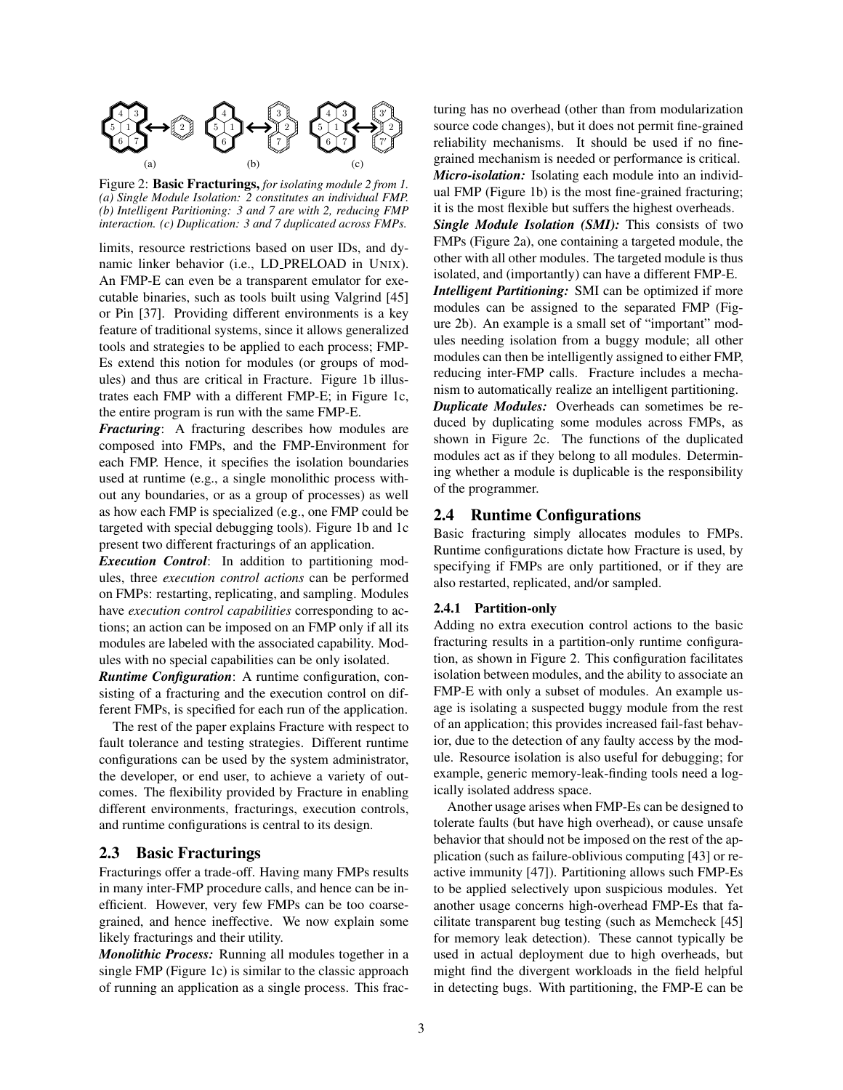

Figure 2: Basic Fracturings, *for isolating module 2 from 1. (a) Single Module Isolation: 2 constitutes an individual FMP. (b) Intelligent Paritioning: 3 and 7 are with 2, reducing FMP interaction. (c) Duplication: 3 and 7 duplicated across FMPs.*

limits, resource restrictions based on user IDs, and dynamic linker behavior (i.e., LD PRELOAD in UNIX). An FMP-E can even be a transparent emulator for executable binaries, such as tools built using Valgrind [45] or Pin [37]. Providing different environments is a key feature of traditional systems, since it allows generalized tools and strategies to be applied to each process; FMP-Es extend this notion for modules (or groups of modules) and thus are critical in Fracture. Figure 1b illustrates each FMP with a different FMP-E; in Figure 1c, the entire program is run with the same FMP-E.

*Fracturing*: A fracturing describes how modules are composed into FMPs, and the FMP-Environment for each FMP. Hence, it specifies the isolation boundaries used at runtime (e.g., a single monolithic process without any boundaries, or as a group of processes) as well as how each FMP is specialized (e.g., one FMP could be targeted with special debugging tools). Figure 1b and 1c present two different fracturings of an application.

*Execution Control*: In addition to partitioning modules, three *execution control actions* can be performed on FMPs: restarting, replicating, and sampling. Modules have *execution control capabilities* corresponding to actions; an action can be imposed on an FMP only if all its modules are labeled with the associated capability. Modules with no special capabilities can be only isolated.

*Runtime Configuration*: A runtime configuration, consisting of a fracturing and the execution control on different FMPs, is specified for each run of the application.

The rest of the paper explains Fracture with respect to fault tolerance and testing strategies. Different runtime configurations can be used by the system administrator, the developer, or end user, to achieve a variety of outcomes. The flexibility provided by Fracture in enabling different environments, fracturings, execution controls, and runtime configurations is central to its design.

## 2.3 Basic Fracturings

Fracturings offer a trade-off. Having many FMPs results in many inter-FMP procedure calls, and hence can be inefficient. However, very few FMPs can be too coarsegrained, and hence ineffective. We now explain some likely fracturings and their utility.

*Monolithic Process:* Running all modules together in a single FMP (Figure 1c) is similar to the classic approach of running an application as a single process. This fracturing has no overhead (other than from modularization source code changes), but it does not permit fine-grained reliability mechanisms. It should be used if no finegrained mechanism is needed or performance is critical. *Micro-isolation:* Isolating each module into an individ-

ual FMP (Figure 1b) is the most fine-grained fracturing; it is the most flexible but suffers the highest overheads.

*Single Module Isolation (SMI):* This consists of two FMPs (Figure 2a), one containing a targeted module, the other with all other modules. The targeted module is thus isolated, and (importantly) can have a different FMP-E.

*Intelligent Partitioning:* SMI can be optimized if more modules can be assigned to the separated FMP (Figure 2b). An example is a small set of "important" modules needing isolation from a buggy module; all other modules can then be intelligently assigned to either FMP, reducing inter-FMP calls. Fracture includes a mechanism to automatically realize an intelligent partitioning.

*Duplicate Modules:* Overheads can sometimes be reduced by duplicating some modules across FMPs, as shown in Figure 2c. The functions of the duplicated modules act as if they belong to all modules. Determining whether a module is duplicable is the responsibility of the programmer.

### 2.4 Runtime Configurations

Basic fracturing simply allocates modules to FMPs. Runtime configurations dictate how Fracture is used, by specifying if FMPs are only partitioned, or if they are also restarted, replicated, and/or sampled.

#### 2.4.1 Partition-only

Adding no extra execution control actions to the basic fracturing results in a partition-only runtime configuration, as shown in Figure 2. This configuration facilitates isolation between modules, and the ability to associate an FMP-E with only a subset of modules. An example usage is isolating a suspected buggy module from the rest of an application; this provides increased fail-fast behavior, due to the detection of any faulty access by the module. Resource isolation is also useful for debugging; for example, generic memory-leak-finding tools need a logically isolated address space.

Another usage arises when FMP-Es can be designed to tolerate faults (but have high overhead), or cause unsafe behavior that should not be imposed on the rest of the application (such as failure-oblivious computing [43] or reactive immunity [47]). Partitioning allows such FMP-Es to be applied selectively upon suspicious modules. Yet another usage concerns high-overhead FMP-Es that facilitate transparent bug testing (such as Memcheck [45] for memory leak detection). These cannot typically be used in actual deployment due to high overheads, but might find the divergent workloads in the field helpful in detecting bugs. With partitioning, the FMP-E can be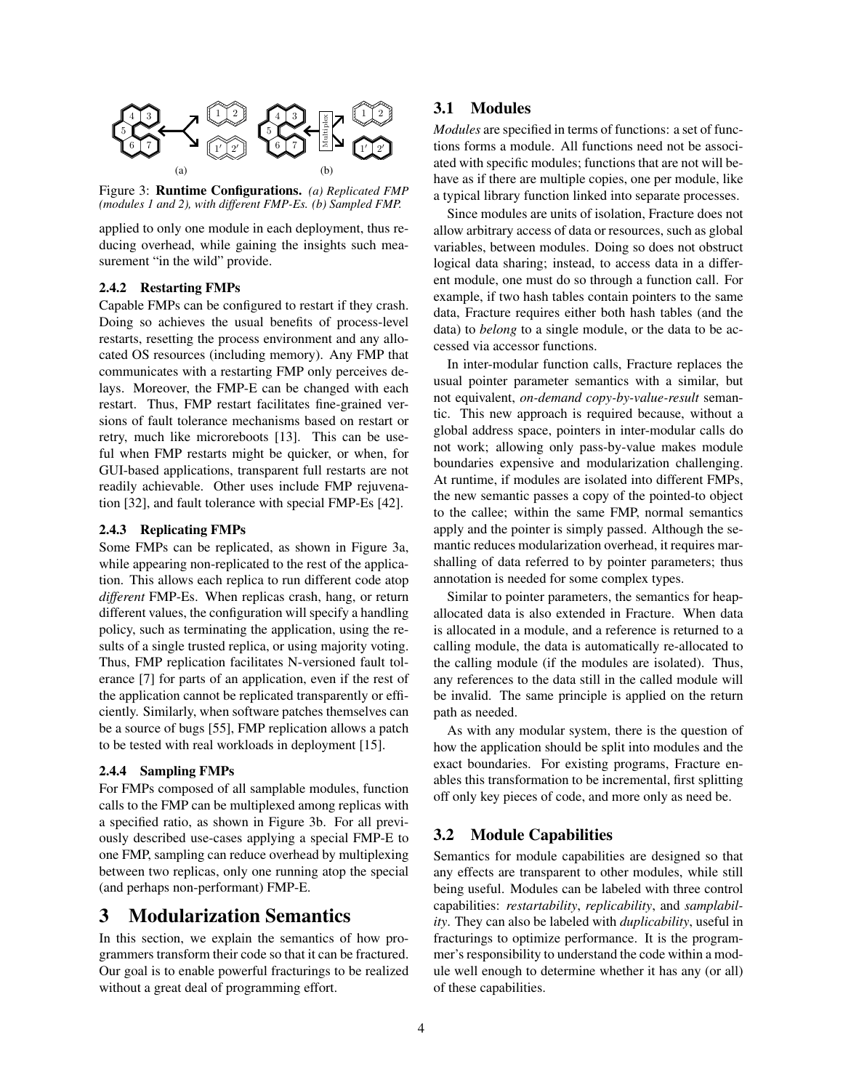

Figure 3: Runtime Configurations. *(a) Replicated FMP (modules 1 and 2), with different FMP-Es. (b) Sampled FMP.*

applied to only one module in each deployment, thus reducing overhead, while gaining the insights such measurement "in the wild" provide.

## 2.4.2 Restarting FMPs

Capable FMPs can be configured to restart if they crash. Doing so achieves the usual benefits of process-level restarts, resetting the process environment and any allocated OS resources (including memory). Any FMP that communicates with a restarting FMP only perceives delays. Moreover, the FMP-E can be changed with each restart. Thus, FMP restart facilitates fine-grained versions of fault tolerance mechanisms based on restart or retry, much like microreboots [13]. This can be useful when FMP restarts might be quicker, or when, for GUI-based applications, transparent full restarts are not readily achievable. Other uses include FMP rejuvenation [32], and fault tolerance with special FMP-Es [42].

### 2.4.3 Replicating FMPs

Some FMPs can be replicated, as shown in Figure 3a, while appearing non-replicated to the rest of the application. This allows each replica to run different code atop *different* FMP-Es. When replicas crash, hang, or return different values, the configuration will specify a handling policy, such as terminating the application, using the results of a single trusted replica, or using majority voting. Thus, FMP replication facilitates N-versioned fault tolerance [7] for parts of an application, even if the rest of the application cannot be replicated transparently or efficiently. Similarly, when software patches themselves can be a source of bugs [55], FMP replication allows a patch to be tested with real workloads in deployment [15].

### 2.4.4 Sampling FMPs

For FMPs composed of all samplable modules, function calls to the FMP can be multiplexed among replicas with a specified ratio, as shown in Figure 3b. For all previously described use-cases applying a special FMP-E to one FMP, sampling can reduce overhead by multiplexing between two replicas, only one running atop the special (and perhaps non-performant) FMP-E.

# 3 Modularization Semantics

In this section, we explain the semantics of how programmers transform their code so that it can be fractured. Our goal is to enable powerful fracturings to be realized without a great deal of programming effort.

# 3.1 Modules

*Modules* are specified in terms of functions: a set of functions forms a module. All functions need not be associated with specific modules; functions that are not will behave as if there are multiple copies, one per module, like a typical library function linked into separate processes.

Since modules are units of isolation, Fracture does not allow arbitrary access of data or resources, such as global variables, between modules. Doing so does not obstruct logical data sharing; instead, to access data in a different module, one must do so through a function call. For example, if two hash tables contain pointers to the same data, Fracture requires either both hash tables (and the data) to *belong* to a single module, or the data to be accessed via accessor functions.

In inter-modular function calls, Fracture replaces the usual pointer parameter semantics with a similar, but not equivalent, *on-demand copy-by-value-result* semantic. This new approach is required because, without a global address space, pointers in inter-modular calls do not work; allowing only pass-by-value makes module boundaries expensive and modularization challenging. At runtime, if modules are isolated into different FMPs, the new semantic passes a copy of the pointed-to object to the callee; within the same FMP, normal semantics apply and the pointer is simply passed. Although the semantic reduces modularization overhead, it requires marshalling of data referred to by pointer parameters; thus annotation is needed for some complex types.

Similar to pointer parameters, the semantics for heapallocated data is also extended in Fracture. When data is allocated in a module, and a reference is returned to a calling module, the data is automatically re-allocated to the calling module (if the modules are isolated). Thus, any references to the data still in the called module will be invalid. The same principle is applied on the return path as needed.

As with any modular system, there is the question of how the application should be split into modules and the exact boundaries. For existing programs, Fracture enables this transformation to be incremental, first splitting off only key pieces of code, and more only as need be.

## 3.2 Module Capabilities

Semantics for module capabilities are designed so that any effects are transparent to other modules, while still being useful. Modules can be labeled with three control capabilities: *restartability*, *replicability*, and *samplability*. They can also be labeled with *duplicability*, useful in fracturings to optimize performance. It is the programmer's responsibility to understand the code within a module well enough to determine whether it has any (or all) of these capabilities.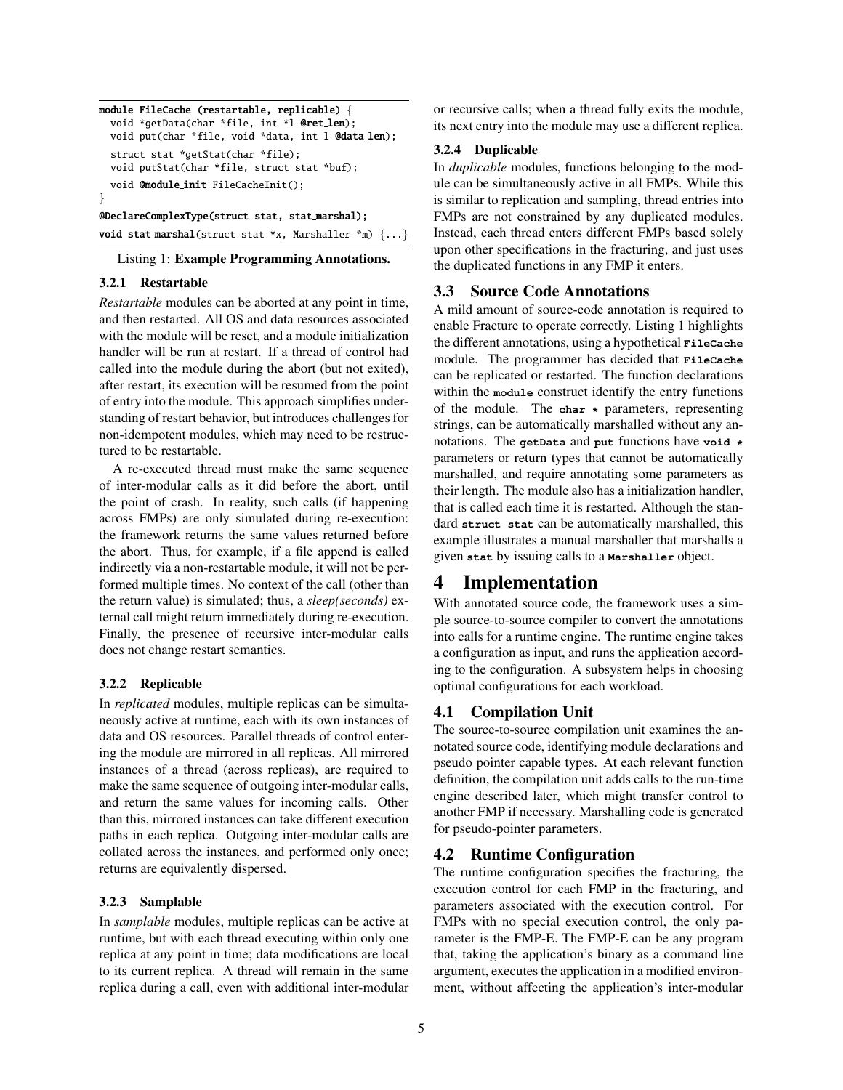```
module FileCache (restartable, replicable) {
  void *getData(char *file, int *l @ret len);
  void put(char *file, void *data, int l @data len);
  struct stat *getStat(char *file);
  void putStat(char *file, struct stat *buf);
  void @module init FileCacheInit();
}
@DeclareComplexType(struct stat, stat marshal);
```
void stat marshal(struct stat \*x, Marshaller \*m) {...}

Listing 1: Example Programming Annotations.

## 3.2.1 Restartable

*Restartable* modules can be aborted at any point in time, and then restarted. All OS and data resources associated with the module will be reset, and a module initialization handler will be run at restart. If a thread of control had called into the module during the abort (but not exited), after restart, its execution will be resumed from the point of entry into the module. This approach simplifies understanding of restart behavior, but introduces challenges for non-idempotent modules, which may need to be restructured to be restartable.

A re-executed thread must make the same sequence of inter-modular calls as it did before the abort, until the point of crash. In reality, such calls (if happening across FMPs) are only simulated during re-execution: the framework returns the same values returned before the abort. Thus, for example, if a file append is called indirectly via a non-restartable module, it will not be performed multiple times. No context of the call (other than the return value) is simulated; thus, a *sleep(seconds)* external call might return immediately during re-execution. Finally, the presence of recursive inter-modular calls does not change restart semantics.

### 3.2.2 Replicable

In *replicated* modules, multiple replicas can be simultaneously active at runtime, each with its own instances of data and OS resources. Parallel threads of control entering the module are mirrored in all replicas. All mirrored instances of a thread (across replicas), are required to make the same sequence of outgoing inter-modular calls, and return the same values for incoming calls. Other than this, mirrored instances can take different execution paths in each replica. Outgoing inter-modular calls are collated across the instances, and performed only once; returns are equivalently dispersed.

### 3.2.3 Samplable

In *samplable* modules, multiple replicas can be active at runtime, but with each thread executing within only one replica at any point in time; data modifications are local to its current replica. A thread will remain in the same replica during a call, even with additional inter-modular or recursive calls; when a thread fully exits the module, its next entry into the module may use a different replica.

### 3.2.4 Duplicable

In *duplicable* modules, functions belonging to the module can be simultaneously active in all FMPs. While this is similar to replication and sampling, thread entries into FMPs are not constrained by any duplicated modules. Instead, each thread enters different FMPs based solely upon other specifications in the fracturing, and just uses the duplicated functions in any FMP it enters.

# 3.3 Source Code Annotations

A mild amount of source-code annotation is required to enable Fracture to operate correctly. Listing 1 highlights the different annotations, using a hypothetical **FileCache** module. The programmer has decided that **FileCache** can be replicated or restarted. The function declarations within the **module** construct identify the entry functions of the module. The **char \*** parameters, representing strings, can be automatically marshalled without any annotations. The **getData** and **put** functions have **void \*** parameters or return types that cannot be automatically marshalled, and require annotating some parameters as their length. The module also has a initialization handler, that is called each time it is restarted. Although the standard **struct stat** can be automatically marshalled, this example illustrates a manual marshaller that marshalls a given **stat** by issuing calls to a **Marshaller** object.

# 4 Implementation

With annotated source code, the framework uses a simple source-to-source compiler to convert the annotations into calls for a runtime engine. The runtime engine takes a configuration as input, and runs the application according to the configuration. A subsystem helps in choosing optimal configurations for each workload.

# 4.1 Compilation Unit

The source-to-source compilation unit examines the annotated source code, identifying module declarations and pseudo pointer capable types. At each relevant function definition, the compilation unit adds calls to the run-time engine described later, which might transfer control to another FMP if necessary. Marshalling code is generated for pseudo-pointer parameters.

# 4.2 Runtime Configuration

The runtime configuration specifies the fracturing, the execution control for each FMP in the fracturing, and parameters associated with the execution control. For FMPs with no special execution control, the only parameter is the FMP-E. The FMP-E can be any program that, taking the application's binary as a command line argument, executes the application in a modified environment, without affecting the application's inter-modular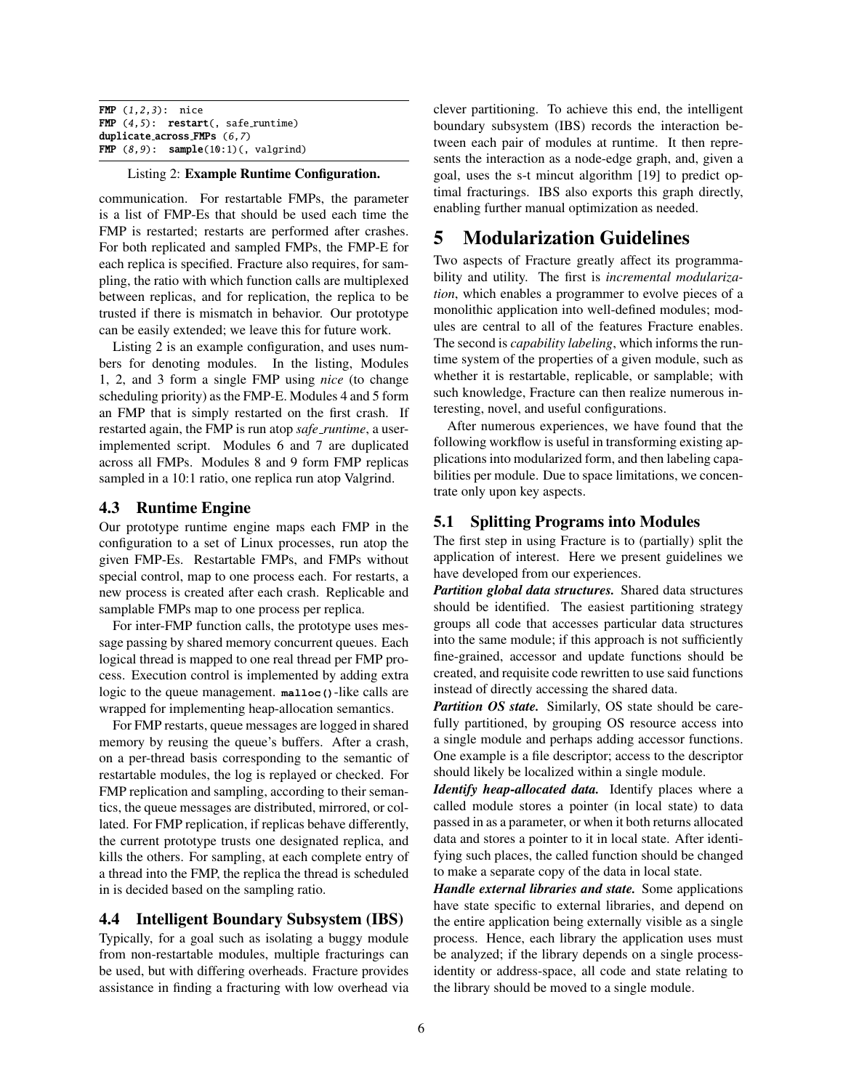FMP (1,2,3): nice FMP  $(4,5)$ : restart $($ , safe\_runtime) duplicate across FMPs (6,7) FMP  $(8,9)$ : sample $(10:1)$  (, valgrind)

### Listing 2: Example Runtime Configuration.

communication. For restartable FMPs, the parameter is a list of FMP-Es that should be used each time the FMP is restarted; restarts are performed after crashes. For both replicated and sampled FMPs, the FMP-E for each replica is specified. Fracture also requires, for sampling, the ratio with which function calls are multiplexed between replicas, and for replication, the replica to be trusted if there is mismatch in behavior. Our prototype can be easily extended; we leave this for future work.

Listing 2 is an example configuration, and uses numbers for denoting modules. In the listing, Modules 1, 2, and 3 form a single FMP using *nice* (to change scheduling priority) as the FMP-E. Modules 4 and 5 form an FMP that is simply restarted on the first crash. If restarted again, the FMP is run atop *safe runtime*, a userimplemented script. Modules 6 and 7 are duplicated across all FMPs. Modules 8 and 9 form FMP replicas sampled in a 10:1 ratio, one replica run atop Valgrind.

## 4.3 Runtime Engine

Our prototype runtime engine maps each FMP in the configuration to a set of Linux processes, run atop the given FMP-Es. Restartable FMPs, and FMPs without special control, map to one process each. For restarts, a new process is created after each crash. Replicable and samplable FMPs map to one process per replica.

For inter-FMP function calls, the prototype uses message passing by shared memory concurrent queues. Each logical thread is mapped to one real thread per FMP process. Execution control is implemented by adding extra logic to the queue management. **malloc()**-like calls are wrapped for implementing heap-allocation semantics.

For FMP restarts, queue messages are logged in shared memory by reusing the queue's buffers. After a crash, on a per-thread basis corresponding to the semantic of restartable modules, the log is replayed or checked. For FMP replication and sampling, according to their semantics, the queue messages are distributed, mirrored, or collated. For FMP replication, if replicas behave differently, the current prototype trusts one designated replica, and kills the others. For sampling, at each complete entry of a thread into the FMP, the replica the thread is scheduled in is decided based on the sampling ratio.

### 4.4 Intelligent Boundary Subsystem (IBS)

Typically, for a goal such as isolating a buggy module from non-restartable modules, multiple fracturings can be used, but with differing overheads. Fracture provides assistance in finding a fracturing with low overhead via clever partitioning. To achieve this end, the intelligent boundary subsystem (IBS) records the interaction between each pair of modules at runtime. It then represents the interaction as a node-edge graph, and, given a goal, uses the s-t mincut algorithm [19] to predict optimal fracturings. IBS also exports this graph directly, enabling further manual optimization as needed.

# 5 Modularization Guidelines

Two aspects of Fracture greatly affect its programmability and utility. The first is *incremental modularization*, which enables a programmer to evolve pieces of a monolithic application into well-defined modules; modules are central to all of the features Fracture enables. The second is *capability labeling*, which informs the runtime system of the properties of a given module, such as whether it is restartable, replicable, or samplable; with such knowledge, Fracture can then realize numerous interesting, novel, and useful configurations.

After numerous experiences, we have found that the following workflow is useful in transforming existing applications into modularized form, and then labeling capabilities per module. Due to space limitations, we concentrate only upon key aspects.

## 5.1 Splitting Programs into Modules

The first step in using Fracture is to (partially) split the application of interest. Here we present guidelines we have developed from our experiences.

*Partition global data structures.* Shared data structures should be identified. The easiest partitioning strategy groups all code that accesses particular data structures into the same module; if this approach is not sufficiently fine-grained, accessor and update functions should be created, and requisite code rewritten to use said functions instead of directly accessing the shared data.

*Partition OS state.* Similarly, OS state should be carefully partitioned, by grouping OS resource access into a single module and perhaps adding accessor functions. One example is a file descriptor; access to the descriptor should likely be localized within a single module.

*Identify heap-allocated data.* Identify places where a called module stores a pointer (in local state) to data passed in as a parameter, or when it both returns allocated data and stores a pointer to it in local state. After identifying such places, the called function should be changed to make a separate copy of the data in local state.

*Handle external libraries and state.* Some applications have state specific to external libraries, and depend on the entire application being externally visible as a single process. Hence, each library the application uses must be analyzed; if the library depends on a single processidentity or address-space, all code and state relating to the library should be moved to a single module.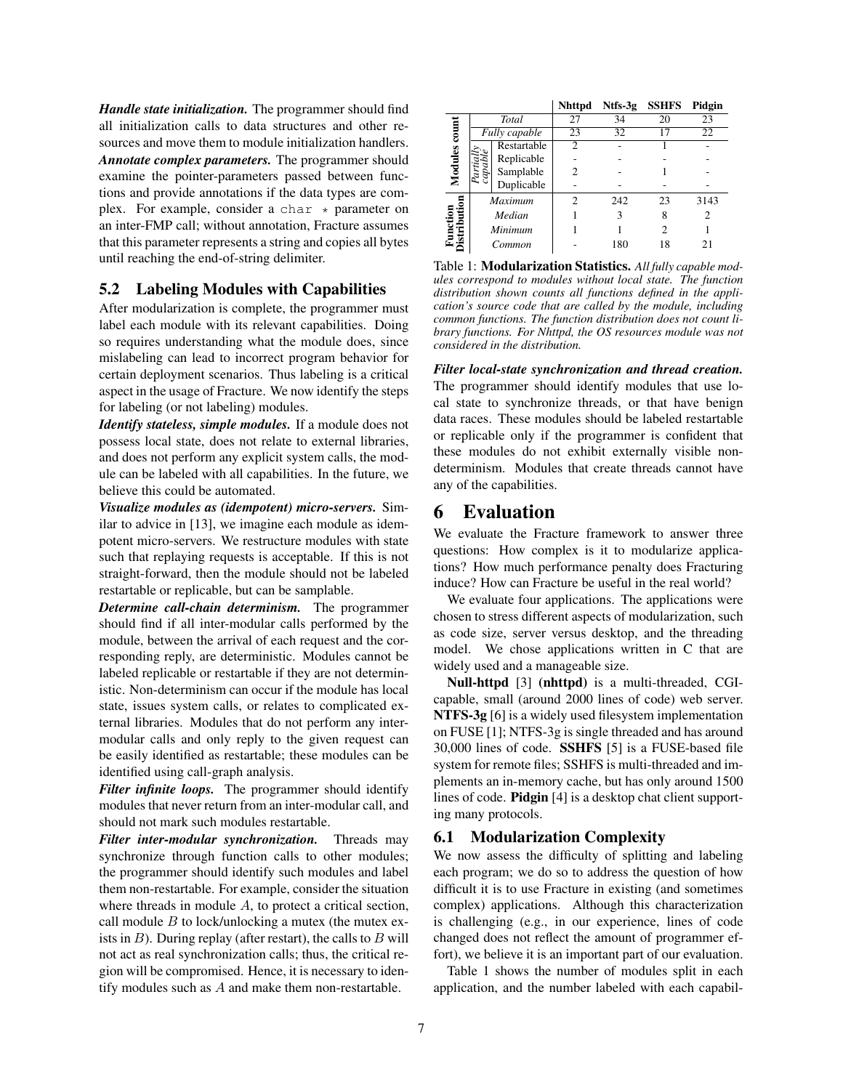*Handle state initialization.* The programmer should find all initialization calls to data structures and other resources and move them to module initialization handlers. *Annotate complex parameters.* The programmer should examine the pointer-parameters passed between functions and provide annotations if the data types are complex. For example, consider a char  $\star$  parameter on an inter-FMP call; without annotation, Fracture assumes that this parameter represents a string and copies all bytes until reaching the end-of-string delimiter.

## 5.2 Labeling Modules with Capabilities

After modularization is complete, the programmer must label each module with its relevant capabilities. Doing so requires understanding what the module does, since mislabeling can lead to incorrect program behavior for certain deployment scenarios. Thus labeling is a critical aspect in the usage of Fracture. We now identify the steps for labeling (or not labeling) modules.

*Identify stateless, simple modules.* If a module does not possess local state, does not relate to external libraries, and does not perform any explicit system calls, the module can be labeled with all capabilities. In the future, we believe this could be automated.

*Visualize modules as (idempotent) micro-servers.* Similar to advice in [13], we imagine each module as idempotent micro-servers. We restructure modules with state such that replaying requests is acceptable. If this is not straight-forward, then the module should not be labeled restartable or replicable, but can be samplable.

*Determine call-chain determinism.* The programmer should find if all inter-modular calls performed by the module, between the arrival of each request and the corresponding reply, are deterministic. Modules cannot be labeled replicable or restartable if they are not deterministic. Non-determinism can occur if the module has local state, issues system calls, or relates to complicated external libraries. Modules that do not perform any intermodular calls and only reply to the given request can be easily identified as restartable; these modules can be identified using call-graph analysis.

*Filter infinite loops.* The programmer should identify modules that never return from an inter-modular call, and should not mark such modules restartable.

*Filter inter-modular synchronization.* Threads may synchronize through function calls to other modules; the programmer should identify such modules and label them non-restartable. For example, consider the situation where threads in module A, to protect a critical section, call module  $B$  to lock/unlocking a mutex (the mutex exists in  $B$ ). During replay (after restart), the calls to  $B$  will not act as real synchronization calls; thus, the critical region will be compromised. Hence, it is necessary to identify modules such as A and make them non-restartable.

|                          |                |             | <b>Nhttpd</b>  |     | Ntfs-3g SSHFS               | Pidgin |
|--------------------------|----------------|-------------|----------------|-----|-----------------------------|--------|
| $_{\rm coum}$<br>Modules | Total          |             | 27             | 34  | 20                          | 23     |
|                          | Fully capable  |             | 23             | 32  |                             | 22     |
|                          | cop            | Restartable | $\mathfrak{D}$ |     |                             |        |
|                          |                | Replicable  |                |     |                             |        |
|                          |                | Samplable   | 2              |     |                             |        |
|                          |                | Duplicable  |                |     |                             |        |
|                          | <b>Maximum</b> |             | 2              | 242 | 23                          | 3143   |
|                          | Median         |             |                | 3   | 8                           | 2      |
|                          | Minimum        |             |                |     | $\mathcal{D}_{\mathcal{L}}$ |        |
|                          | Common         |             |                | 180 |                             | 21     |

Table 1: Modularization Statistics. *All fully capable modules correspond to modules without local state. The function distribution shown counts all functions defined in the application's source code that are called by the module, including common functions. The function distribution does not count library functions. For Nhttpd, the OS resources module was not considered in the distribution.*

*Filter local-state synchronization and thread creation.* The programmer should identify modules that use local state to synchronize threads, or that have benign data races. These modules should be labeled restartable or replicable only if the programmer is confident that these modules do not exhibit externally visible nondeterminism. Modules that create threads cannot have any of the capabilities.

# 6 Evaluation

We evaluate the Fracture framework to answer three questions: How complex is it to modularize applications? How much performance penalty does Fracturing induce? How can Fracture be useful in the real world?

We evaluate four applications. The applications were chosen to stress different aspects of modularization, such as code size, server versus desktop, and the threading model. We chose applications written in C that are widely used and a manageable size.

Null-httpd [3] (nhttpd) is a multi-threaded, CGIcapable, small (around 2000 lines of code) web server. NTFS-3g [6] is a widely used filesystem implementation on FUSE [1]; NTFS-3g is single threaded and has around 30,000 lines of code. SSHFS [5] is a FUSE-based file system for remote files; SSHFS is multi-threaded and implements an in-memory cache, but has only around 1500 lines of code. Pidgin [4] is a desktop chat client supporting many protocols.

# 6.1 Modularization Complexity

We now assess the difficulty of splitting and labeling each program; we do so to address the question of how difficult it is to use Fracture in existing (and sometimes complex) applications. Although this characterization is challenging (e.g., in our experience, lines of code changed does not reflect the amount of programmer effort), we believe it is an important part of our evaluation.

Table 1 shows the number of modules split in each application, and the number labeled with each capabil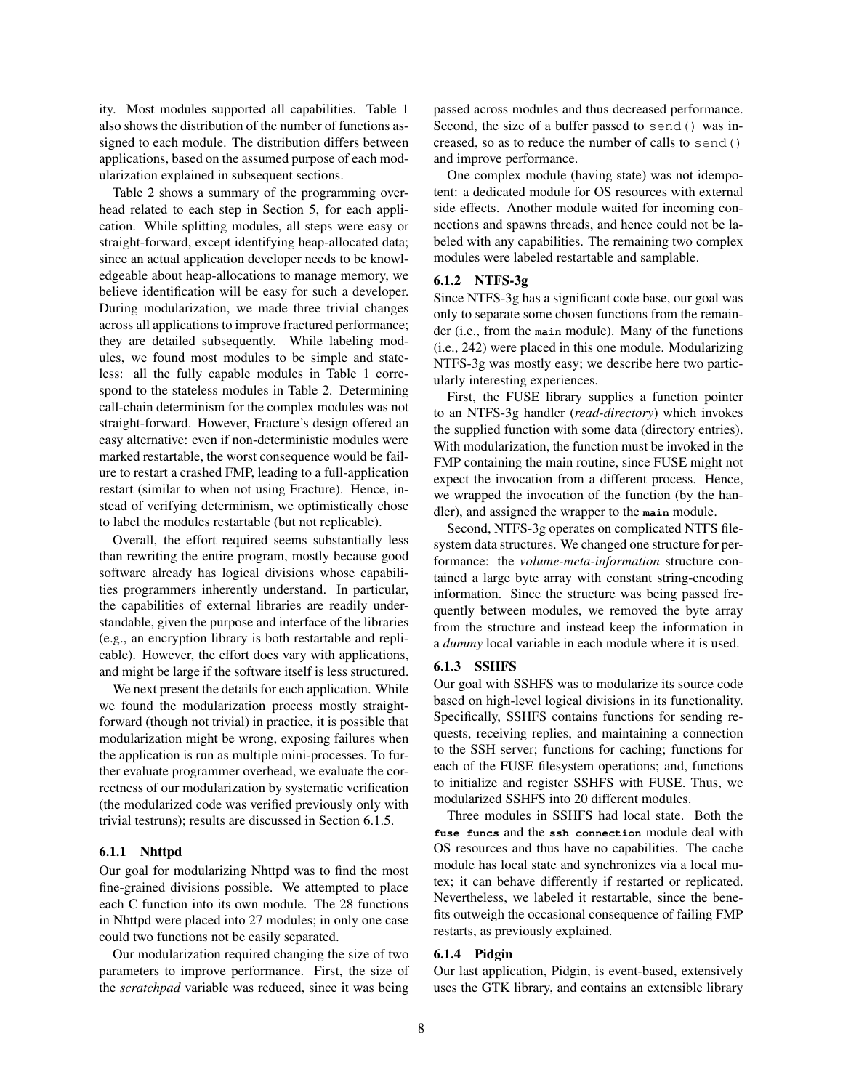ity. Most modules supported all capabilities. Table 1 also shows the distribution of the number of functions assigned to each module. The distribution differs between applications, based on the assumed purpose of each modularization explained in subsequent sections.

Table 2 shows a summary of the programming overhead related to each step in Section 5, for each application. While splitting modules, all steps were easy or straight-forward, except identifying heap-allocated data; since an actual application developer needs to be knowledgeable about heap-allocations to manage memory, we believe identification will be easy for such a developer. During modularization, we made three trivial changes across all applications to improve fractured performance; they are detailed subsequently. While labeling modules, we found most modules to be simple and stateless: all the fully capable modules in Table 1 correspond to the stateless modules in Table 2. Determining call-chain determinism for the complex modules was not straight-forward. However, Fracture's design offered an easy alternative: even if non-deterministic modules were marked restartable, the worst consequence would be failure to restart a crashed FMP, leading to a full-application restart (similar to when not using Fracture). Hence, instead of verifying determinism, we optimistically chose to label the modules restartable (but not replicable).

Overall, the effort required seems substantially less than rewriting the entire program, mostly because good software already has logical divisions whose capabilities programmers inherently understand. In particular, the capabilities of external libraries are readily understandable, given the purpose and interface of the libraries (e.g., an encryption library is both restartable and replicable). However, the effort does vary with applications, and might be large if the software itself is less structured.

We next present the details for each application. While we found the modularization process mostly straightforward (though not trivial) in practice, it is possible that modularization might be wrong, exposing failures when the application is run as multiple mini-processes. To further evaluate programmer overhead, we evaluate the correctness of our modularization by systematic verification (the modularized code was verified previously only with trivial testruns); results are discussed in Section 6.1.5.

#### 6.1.1 Nhttpd

Our goal for modularizing Nhttpd was to find the most fine-grained divisions possible. We attempted to place each C function into its own module. The 28 functions in Nhttpd were placed into 27 modules; in only one case could two functions not be easily separated.

Our modularization required changing the size of two parameters to improve performance. First, the size of the *scratchpad* variable was reduced, since it was being passed across modules and thus decreased performance. Second, the size of a buffer passed to send() was increased, so as to reduce the number of calls to send() and improve performance.

One complex module (having state) was not idempotent: a dedicated module for OS resources with external side effects. Another module waited for incoming connections and spawns threads, and hence could not be labeled with any capabilities. The remaining two complex modules were labeled restartable and samplable.

### 6.1.2 NTFS-3g

Since NTFS-3g has a significant code base, our goal was only to separate some chosen functions from the remainder (i.e., from the **main** module). Many of the functions (i.e., 242) were placed in this one module. Modularizing NTFS-3g was mostly easy; we describe here two particularly interesting experiences.

First, the FUSE library supplies a function pointer to an NTFS-3g handler (*read-directory*) which invokes the supplied function with some data (directory entries). With modularization, the function must be invoked in the FMP containing the main routine, since FUSE might not expect the invocation from a different process. Hence, we wrapped the invocation of the function (by the handler), and assigned the wrapper to the **main** module.

Second, NTFS-3g operates on complicated NTFS filesystem data structures. We changed one structure for performance: the *volume-meta-information* structure contained a large byte array with constant string-encoding information. Since the structure was being passed frequently between modules, we removed the byte array from the structure and instead keep the information in a *dummy* local variable in each module where it is used.

### 6.1.3 SSHFS

Our goal with SSHFS was to modularize its source code based on high-level logical divisions in its functionality. Specifically, SSHFS contains functions for sending requests, receiving replies, and maintaining a connection to the SSH server; functions for caching; functions for each of the FUSE filesystem operations; and, functions to initialize and register SSHFS with FUSE. Thus, we modularized SSHFS into 20 different modules.

Three modules in SSHFS had local state. Both the **fuse funcs** and the **ssh connection** module deal with OS resources and thus have no capabilities. The cache module has local state and synchronizes via a local mutex; it can behave differently if restarted or replicated. Nevertheless, we labeled it restartable, since the benefits outweigh the occasional consequence of failing FMP restarts, as previously explained.

### 6.1.4 Pidgin

Our last application, Pidgin, is event-based, extensively uses the GTK library, and contains an extensible library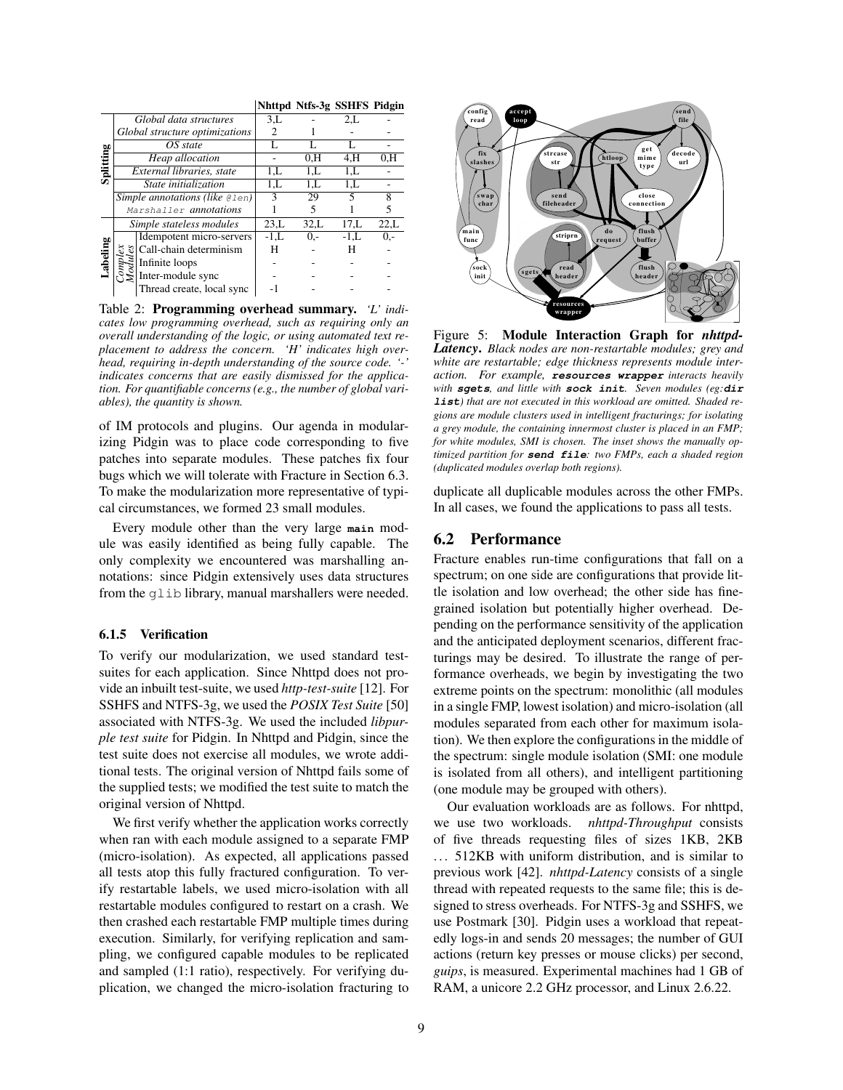|           |                                     |                                 |               | Nhttpd Ntfs-3g SSHFS Pidgin |        |       |
|-----------|-------------------------------------|---------------------------------|---------------|-----------------------------|--------|-------|
| Splitting | Global data structures              |                                 | 3.L           |                             | 2,L    |       |
|           | Global structure optimizations      |                                 | $\mathcal{L}$ |                             |        |       |
|           | OS state                            |                                 |               |                             |        |       |
|           | Heap allocation                     |                                 |               | 0.H                         | 4.H    | 0.H   |
|           | External libraries, state           |                                 | 1.L           | 1,L                         | 1.L    |       |
|           | State initialization                |                                 | 1.L           | 1.L                         | 1.L    |       |
|           | $Simple$ annotations (like $Qlen$ ) |                                 | ٩             | 29                          | 5      | 8     |
|           | Marshaller annotations              |                                 |               | 5                           |        |       |
| abeling   | Simple stateless modules            |                                 | 23.L          | 32,L                        | 17.L   | 22,L  |
|           |                                     | Idempotent micro-servers        | $-1.L$        | $0. -$                      | $-1,L$ | $0 -$ |
|           | $\frac{5}{6}$                       | Call-chain determinism          | н             |                             | н      |       |
|           |                                     | $\ddot{\vec{z}}$ Infinite loops |               |                             |        |       |
|           |                                     | Inter-module sync               |               |                             |        |       |
|           |                                     | Thread create, local sync       |               |                             |        |       |

Table 2: Programming overhead summary. *'L' indicates low programming overhead, such as requiring only an overall understanding of the logic, or using automated text replacement to address the concern. 'H' indicates high overhead, requiring in-depth understanding of the source code. '-' indicates concerns that are easily dismissed for the application. For quantifiable concerns (e.g., the number of global variables), the quantity is shown.*

of IM protocols and plugins. Our agenda in modularizing Pidgin was to place code corresponding to five patches into separate modules. These patches fix four bugs which we will tolerate with Fracture in Section 6.3. To make the modularization more representative of typical circumstances, we formed 23 small modules.

Every module other than the very large **main** module was easily identified as being fully capable. The only complexity we encountered was marshalling annotations: since Pidgin extensively uses data structures from the glib library, manual marshallers were needed.

#### 6.1.5 Verification

To verify our modularization, we used standard testsuites for each application. Since Nhttpd does not provide an inbuilt test-suite, we used *http-test-suite* [12]. For SSHFS and NTFS-3g, we used the *POSIX Test Suite* [50] associated with NTFS-3g. We used the included *libpurple test suite* for Pidgin. In Nhttpd and Pidgin, since the test suite does not exercise all modules, we wrote additional tests. The original version of Nhttpd fails some of the supplied tests; we modified the test suite to match the original version of Nhttpd.

We first verify whether the application works correctly when ran with each module assigned to a separate FMP (micro-isolation). As expected, all applications passed all tests atop this fully fractured configuration. To verify restartable labels, we used micro-isolation with all restartable modules configured to restart on a crash. We then crashed each restartable FMP multiple times during execution. Similarly, for verifying replication and sampling, we configured capable modules to be replicated and sampled (1:1 ratio), respectively. For verifying duplication, we changed the micro-isolation fracturing to



Figure 5: Module Interaction Graph for *nhttpd-Latency*. *Black nodes are non-restartable modules; grey and white are restartable; edge thickness represents module interaction. For example,* **resources wrapper** *interacts heavily with* **sgets***, and little with* **sock init***. Seven modules (eg:***dir list***) that are not executed in this workload are omitted. Shaded regions are module clusters used in intelligent fracturings; for isolating a grey module, the containing innermost cluster is placed in an FMP; for white modules, SMI is chosen. The inset shows the manually optimized partition for* **send file***: two FMPs, each a shaded region (duplicated modules overlap both regions).*

duplicate all duplicable modules across the other FMPs. In all cases, we found the applications to pass all tests.

## 6.2 Performance

Fracture enables run-time configurations that fall on a spectrum; on one side are configurations that provide little isolation and low overhead; the other side has finegrained isolation but potentially higher overhead. Depending on the performance sensitivity of the application and the anticipated deployment scenarios, different fracturings may be desired. To illustrate the range of performance overheads, we begin by investigating the two extreme points on the spectrum: monolithic (all modules in a single FMP, lowest isolation) and micro-isolation (all modules separated from each other for maximum isolation). We then explore the configurations in the middle of the spectrum: single module isolation (SMI: one module is isolated from all others), and intelligent partitioning (one module may be grouped with others).

Our evaluation workloads are as follows. For nhttpd, we use two workloads. *nhttpd-Throughput* consists of five threads requesting files of sizes 1KB, 2KB ... 512KB with uniform distribution, and is similar to previous work [42]. *nhttpd-Latency* consists of a single thread with repeated requests to the same file; this is designed to stress overheads. For NTFS-3g and SSHFS, we use Postmark [30]. Pidgin uses a workload that repeatedly logs-in and sends 20 messages; the number of GUI actions (return key presses or mouse clicks) per second, *guips*, is measured. Experimental machines had 1 GB of RAM, a unicore 2.2 GHz processor, and Linux 2.6.22.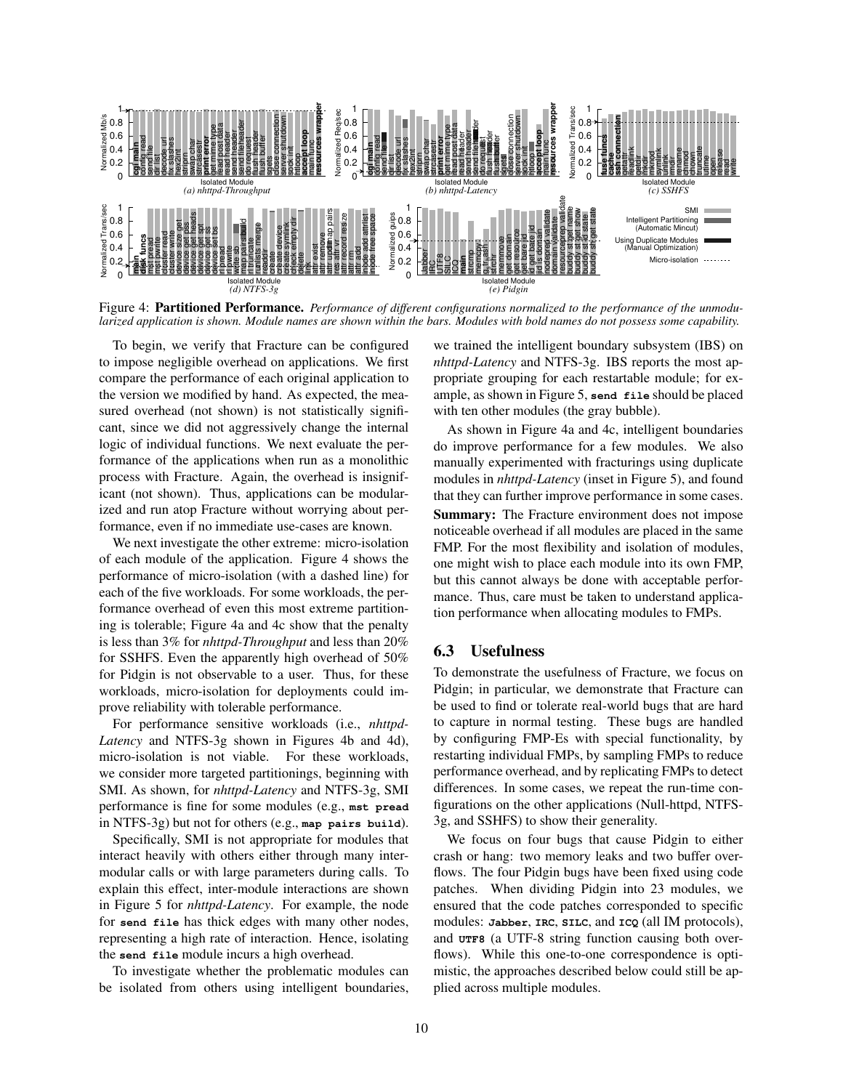

Figure 4: Partitioned Performance. *Performance of different configurations normalized to the performance of the unmodularized application is shown. Module names are shown within the bars. Modules with bold names do not possess some capability.*

To begin, we verify that Fracture can be configured to impose negligible overhead on applications. We first compare the performance of each original application to the version we modified by hand. As expected, the measured overhead (not shown) is not statistically significant, since we did not aggressively change the internal logic of individual functions. We next evaluate the performance of the applications when run as a monolithic process with Fracture. Again, the overhead is insignificant (not shown). Thus, applications can be modularized and run atop Fracture without worrying about performance, even if no immediate use-cases are known.

We next investigate the other extreme: micro-isolation of each module of the application. Figure 4 shows the performance of micro-isolation (with a dashed line) for each of the five workloads. For some workloads, the performance overhead of even this most extreme partitioning is tolerable; Figure 4a and 4c show that the penalty is less than 3% for *nhttpd-Throughput* and less than 20% for SSHFS. Even the apparently high overhead of 50% for Pidgin is not observable to a user. Thus, for these workloads, micro-isolation for deployments could improve reliability with tolerable performance.

For performance sensitive workloads (i.e., *nhttpd-Latency* and NTFS-3g shown in Figures 4b and 4d), micro-isolation is not viable. For these workloads, we consider more targeted partitionings, beginning with SMI. As shown, for *nhttpd-Latency* and NTFS-3g, SMI performance is fine for some modules (e.g., **mst pread** in NTFS-3g) but not for others (e.g., **map pairs build**).

Specifically, SMI is not appropriate for modules that interact heavily with others either through many intermodular calls or with large parameters during calls. To explain this effect, inter-module interactions are shown in Figure 5 for *nhttpd-Latency*. For example, the node for **send file** has thick edges with many other nodes, representing a high rate of interaction. Hence, isolating the **send file** module incurs a high overhead.

To investigate whether the problematic modules can be isolated from others using intelligent boundaries, we trained the intelligent boundary subsystem (IBS) on *nhttpd-Latency* and NTFS-3g. IBS reports the most appropriate grouping for each restartable module; for example, as shown in Figure 5, **send file** should be placed with ten other modules (the gray bubble).

As shown in Figure 4a and 4c, intelligent boundaries do improve performance for a few modules. We also manually experimented with fracturings using duplicate modules in *nhttpd-Latency* (inset in Figure 5), and found that they can further improve performance in some cases. Summary: The Fracture environment does not impose noticeable overhead if all modules are placed in the same FMP. For the most flexibility and isolation of modules, one might wish to place each module into its own FMP, but this cannot always be done with acceptable performance. Thus, care must be taken to understand application performance when allocating modules to FMPs.

# 6.3 Usefulness

To demonstrate the usefulness of Fracture, we focus on Pidgin; in particular, we demonstrate that Fracture can be used to find or tolerate real-world bugs that are hard to capture in normal testing. These bugs are handled by configuring FMP-Es with special functionality, by restarting individual FMPs, by sampling FMPs to reduce performance overhead, and by replicating FMPs to detect differences. In some cases, we repeat the run-time configurations on the other applications (Null-httpd, NTFS-3g, and SSHFS) to show their generality.

We focus on four bugs that cause Pidgin to either crash or hang: two memory leaks and two buffer overflows. The four Pidgin bugs have been fixed using code patches. When dividing Pidgin into 23 modules, we ensured that the code patches corresponded to specific modules: **Jabber**, **IRC**, **SILC**, and **ICQ** (all IM protocols), and **UTF8** (a UTF-8 string function causing both overflows). While this one-to-one correspondence is optimistic, the approaches described below could still be applied across multiple modules.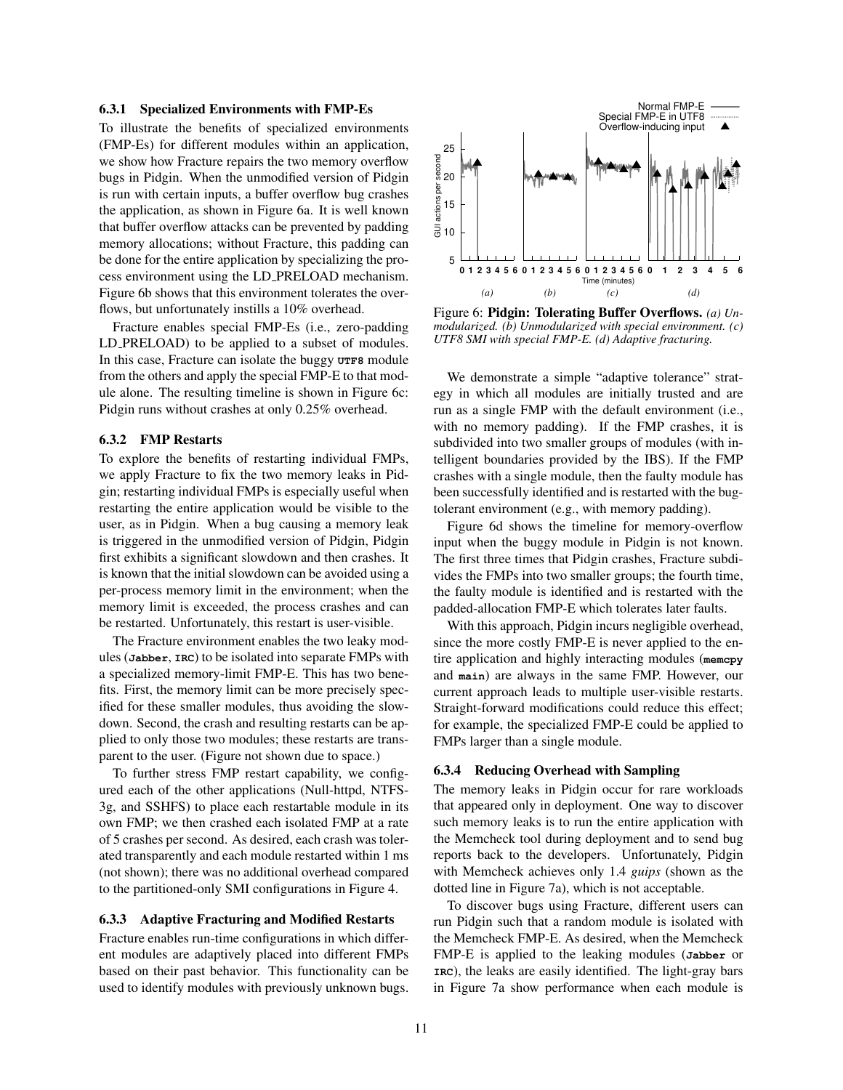#### 6.3.1 Specialized Environments with FMP-Es

To illustrate the benefits of specialized environments (FMP-Es) for different modules within an application, we show how Fracture repairs the two memory overflow bugs in Pidgin. When the unmodified version of Pidgin is run with certain inputs, a buffer overflow bug crashes the application, as shown in Figure 6a. It is well known that buffer overflow attacks can be prevented by padding memory allocations; without Fracture, this padding can be done for the entire application by specializing the process environment using the LD PRELOAD mechanism. Figure 6b shows that this environment tolerates the overflows, but unfortunately instills a 10% overhead.

Fracture enables special FMP-Es (i.e., zero-padding LD PRELOAD) to be applied to a subset of modules. In this case, Fracture can isolate the buggy **UTF8** module from the others and apply the special FMP-E to that module alone. The resulting timeline is shown in Figure 6c: Pidgin runs without crashes at only 0.25% overhead.

### 6.3.2 FMP Restarts

To explore the benefits of restarting individual FMPs, we apply Fracture to fix the two memory leaks in Pidgin; restarting individual FMPs is especially useful when restarting the entire application would be visible to the user, as in Pidgin. When a bug causing a memory leak is triggered in the unmodified version of Pidgin, Pidgin first exhibits a significant slowdown and then crashes. It is known that the initial slowdown can be avoided using a per-process memory limit in the environment; when the memory limit is exceeded, the process crashes and can be restarted. Unfortunately, this restart is user-visible.

The Fracture environment enables the two leaky modules (**Jabber**, **IRC**) to be isolated into separate FMPs with a specialized memory-limit FMP-E. This has two benefits. First, the memory limit can be more precisely specified for these smaller modules, thus avoiding the slowdown. Second, the crash and resulting restarts can be applied to only those two modules; these restarts are transparent to the user. (Figure not shown due to space.)

To further stress FMP restart capability, we configured each of the other applications (Null-httpd, NTFS-3g, and SSHFS) to place each restartable module in its own FMP; we then crashed each isolated FMP at a rate of 5 crashes per second. As desired, each crash was tolerated transparently and each module restarted within 1 ms (not shown); there was no additional overhead compared to the partitioned-only SMI configurations in Figure 4.

## 6.3.3 Adaptive Fracturing and Modified Restarts

Fracture enables run-time configurations in which different modules are adaptively placed into different FMPs based on their past behavior. This functionality can be used to identify modules with previously unknown bugs.



Figure 6: Pidgin: Tolerating Buffer Overflows. *(a) Unmodularized. (b) Unmodularized with special environment. (c) UTF8 SMI with special FMP-E. (d) Adaptive fracturing.*

We demonstrate a simple "adaptive tolerance" strategy in which all modules are initially trusted and are run as a single FMP with the default environment (i.e., with no memory padding). If the FMP crashes, it is subdivided into two smaller groups of modules (with intelligent boundaries provided by the IBS). If the FMP crashes with a single module, then the faulty module has been successfully identified and is restarted with the bugtolerant environment (e.g., with memory padding).

Figure 6d shows the timeline for memory-overflow input when the buggy module in Pidgin is not known. The first three times that Pidgin crashes, Fracture subdivides the FMPs into two smaller groups; the fourth time, the faulty module is identified and is restarted with the padded-allocation FMP-E which tolerates later faults.

With this approach, Pidgin incurs negligible overhead, since the more costly FMP-E is never applied to the entire application and highly interacting modules (**memcpy** and **main**) are always in the same FMP. However, our current approach leads to multiple user-visible restarts. Straight-forward modifications could reduce this effect; for example, the specialized FMP-E could be applied to FMPs larger than a single module.

#### 6.3.4 Reducing Overhead with Sampling

The memory leaks in Pidgin occur for rare workloads that appeared only in deployment. One way to discover such memory leaks is to run the entire application with the Memcheck tool during deployment and to send bug reports back to the developers. Unfortunately, Pidgin with Memcheck achieves only 1.4 *guips* (shown as the dotted line in Figure 7a), which is not acceptable.

To discover bugs using Fracture, different users can run Pidgin such that a random module is isolated with the Memcheck FMP-E. As desired, when the Memcheck FMP-E is applied to the leaking modules (**Jabber** or **IRC**), the leaks are easily identified. The light-gray bars in Figure 7a show performance when each module is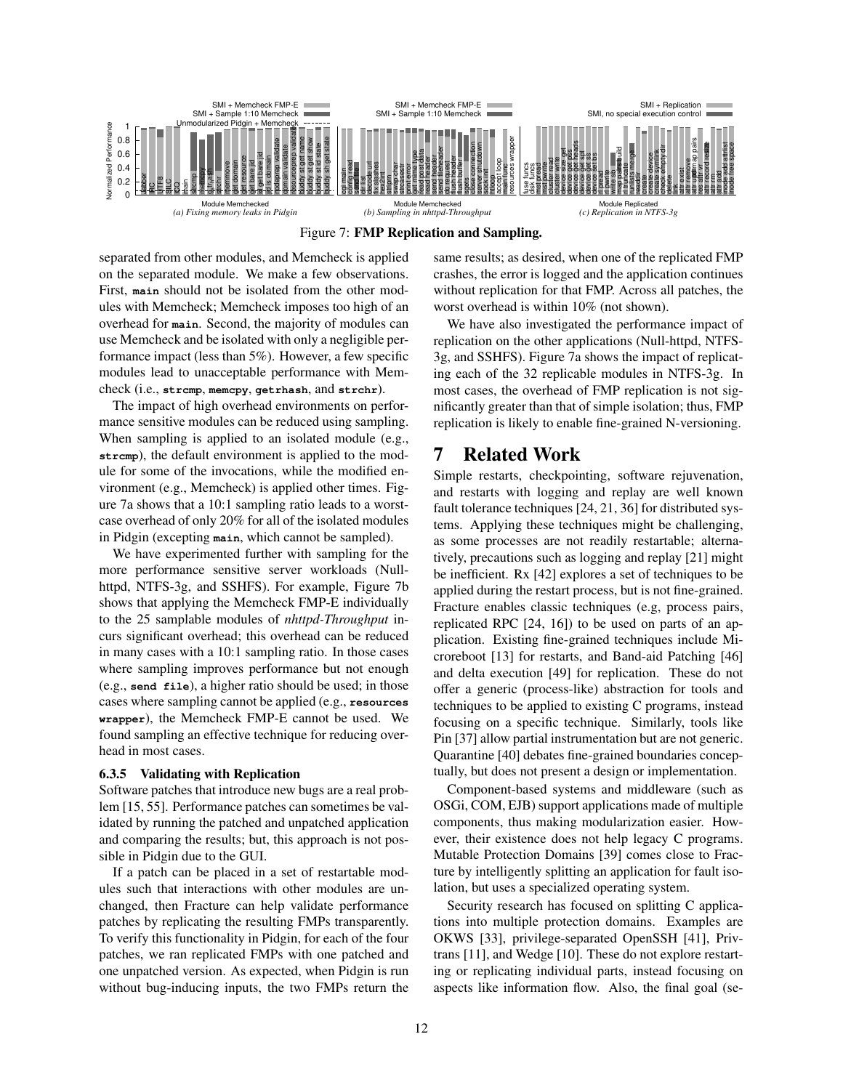

Figure 7: FMP Replication and Sampling.

separated from other modules, and Memcheck is applied on the separated module. We make a few observations. First, **main** should not be isolated from the other modules with Memcheck; Memcheck imposes too high of an overhead for **main**. Second, the majority of modules can use Memcheck and be isolated with only a negligible performance impact (less than 5%). However, a few specific modules lead to unacceptable performance with Memcheck (i.e., **strcmp**, **memcpy**, **getrhash**, and **strchr**).

The impact of high overhead environments on performance sensitive modules can be reduced using sampling. When sampling is applied to an isolated module (e.g., strcmp), the default environment is applied to the module for some of the invocations, while the modified environment (e.g., Memcheck) is applied other times. Figure 7a shows that a 10:1 sampling ratio leads to a worstcase overhead of only 20% for all of the isolated modules in Pidgin (excepting **main**, which cannot be sampled).

We have experimented further with sampling for the more performance sensitive server workloads (Nullhttpd, NTFS-3g, and SSHFS). For example, Figure 7b shows that applying the Memcheck FMP-E individually to the 25 samplable modules of *nhttpd-Throughput* incurs significant overhead; this overhead can be reduced in many cases with a 10:1 sampling ratio. In those cases where sampling improves performance but not enough (e.g., **send file**), a higher ratio should be used; in those cases where sampling cannot be applied (e.g., **resources wrapper**), the Memcheck FMP-E cannot be used. We found sampling an effective technique for reducing overhead in most cases.

#### 6.3.5 Validating with Replication

Software patches that introduce new bugs are a real problem [15, 55]. Performance patches can sometimes be validated by running the patched and unpatched application and comparing the results; but, this approach is not possible in Pidgin due to the GUI.

If a patch can be placed in a set of restartable modules such that interactions with other modules are unchanged, then Fracture can help validate performance patches by replicating the resulting FMPs transparently. To verify this functionality in Pidgin, for each of the four patches, we ran replicated FMPs with one patched and one unpatched version. As expected, when Pidgin is run without bug-inducing inputs, the two FMPs return the same results; as desired, when one of the replicated FMP crashes, the error is logged and the application continues without replication for that FMP. Across all patches, the worst overhead is within 10% (not shown).

We have also investigated the performance impact of replication on the other applications (Null-httpd, NTFS-3g, and SSHFS). Figure 7a shows the impact of replicating each of the 32 replicable modules in NTFS-3g. In most cases, the overhead of FMP replication is not significantly greater than that of simple isolation; thus, FMP replication is likely to enable fine-grained N-versioning.

# 7 Related Work

Simple restarts, checkpointing, software rejuvenation, and restarts with logging and replay are well known fault tolerance techniques [24, 21, 36] for distributed systems. Applying these techniques might be challenging, as some processes are not readily restartable; alternatively, precautions such as logging and replay [21] might be inefficient. Rx [42] explores a set of techniques to be applied during the restart process, but is not fine-grained. Fracture enables classic techniques (e.g, process pairs, replicated RPC [24, 16]) to be used on parts of an application. Existing fine-grained techniques include Microreboot [13] for restarts, and Band-aid Patching [46] and delta execution [49] for replication. These do not offer a generic (process-like) abstraction for tools and techniques to be applied to existing C programs, instead focusing on a specific technique. Similarly, tools like Pin [37] allow partial instrumentation but are not generic. Quarantine [40] debates fine-grained boundaries conceptually, but does not present a design or implementation.

Component-based systems and middleware (such as OSGi, COM, EJB) support applications made of multiple components, thus making modularization easier. However, their existence does not help legacy C programs. Mutable Protection Domains [39] comes close to Fracture by intelligently splitting an application for fault isolation, but uses a specialized operating system.

Security research has focused on splitting C applications into multiple protection domains. Examples are OKWS [33], privilege-separated OpenSSH [41], Privtrans [11], and Wedge [10]. These do not explore restarting or replicating individual parts, instead focusing on aspects like information flow. Also, the final goal (se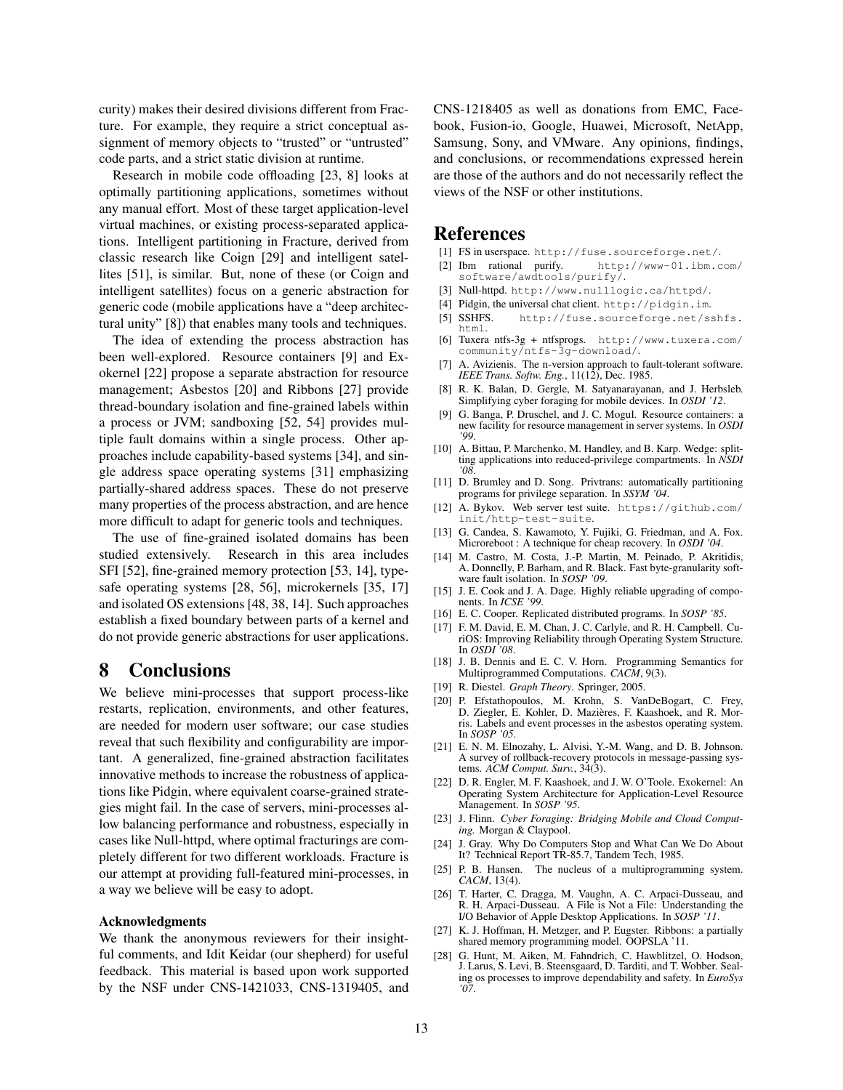curity) makes their desired divisions different from Fracture. For example, they require a strict conceptual assignment of memory objects to "trusted" or "untrusted" code parts, and a strict static division at runtime.

Research in mobile code offloading [23, 8] looks at optimally partitioning applications, sometimes without any manual effort. Most of these target application-level virtual machines, or existing process-separated applications. Intelligent partitioning in Fracture, derived from classic research like Coign [29] and intelligent satellites [51], is similar. But, none of these (or Coign and intelligent satellites) focus on a generic abstraction for generic code (mobile applications have a "deep architectural unity" [8]) that enables many tools and techniques.

The idea of extending the process abstraction has been well-explored. Resource containers [9] and Exokernel [22] propose a separate abstraction for resource management; Asbestos [20] and Ribbons [27] provide thread-boundary isolation and fine-grained labels within a process or JVM; sandboxing [52, 54] provides multiple fault domains within a single process. Other approaches include capability-based systems [34], and single address space operating systems [31] emphasizing partially-shared address spaces. These do not preserve many properties of the process abstraction, and are hence more difficult to adapt for generic tools and techniques.

The use of fine-grained isolated domains has been studied extensively. Research in this area includes SFI [52], fine-grained memory protection [53, 14], typesafe operating systems [28, 56], microkernels [35, 17] and isolated OS extensions [48, 38, 14]. Such approaches establish a fixed boundary between parts of a kernel and do not provide generic abstractions for user applications.

# 8 Conclusions

We believe mini-processes that support process-like restarts, replication, environments, and other features, are needed for modern user software; our case studies reveal that such flexibility and configurability are important. A generalized, fine-grained abstraction facilitates innovative methods to increase the robustness of applications like Pidgin, where equivalent coarse-grained strategies might fail. In the case of servers, mini-processes allow balancing performance and robustness, especially in cases like Null-httpd, where optimal fracturings are completely different for two different workloads. Fracture is our attempt at providing full-featured mini-processes, in a way we believe will be easy to adopt.

### Acknowledgments

We thank the anonymous reviewers for their insightful comments, and Idit Keidar (our shepherd) for useful feedback. This material is based upon work supported by the NSF under CNS-1421033, CNS-1319405, and CNS-1218405 as well as donations from EMC, Facebook, Fusion-io, Google, Huawei, Microsoft, NetApp, Samsung, Sony, and VMware. Any opinions, findings, and conclusions, or recommendations expressed herein are those of the authors and do not necessarily reflect the views of the NSF or other institutions.

# References

- [1] FS in userspace. http://fuse.sourceforge.net/.
- [2] Ibm rational purify. http://www-01.ibm.com/ software/awdtools/purify/.
- [3] Null-httpd. http://www.nulllogic.ca/httpd/.
- [4] Pidgin, the universal chat client. http://pidgin.im.
- [5] SSHFS. http://fuse.sourceforge.net/sshfs. html.
- [6] Tuxera ntfs-3g + ntfsprogs. http://www.tuxera.com/ community/ntfs-3g-download/.
- [7] A. Avizienis. The n-version approach to fault-tolerant software. *IEEE Trans. Softw. Eng.*, 11(12), Dec. 1985.
- [8] R. K. Balan, D. Gergle, M. Satyanarayanan, and J. Herbsleb. Simplifying cyber foraging for mobile devices. In *OSDI '12*.
- [9] G. Banga, P. Druschel, and J. C. Mogul. Resource containers: a new facility for resource management in server systems. In *OSDI '99*.
- [10] A. Bittau, P. Marchenko, M. Handley, and B. Karp. Wedge: splitting applications into reduced-privilege compartments. In *NSDI '08*.
- [11] D. Brumley and D. Song. Privtrans: automatically partitioning programs for privilege separation. In *SSYM '04*.
- [12] A. Bykov. Web server test suite. https://github.com/ init/http-test-suite.
- [13] G. Candea, S. Kawamoto, Y. Fujiki, G. Friedman, and A. Fox. Microreboot : A technique for cheap recovery. In *OSDI '04*.
- [14] M. Castro, M. Costa, J.-P. Martin, M. Peinado, P. Akritidis, A. Donnelly, P. Barham, and R. Black. Fast byte-granularity software fault isolation. In *SOSP '09*.
- [15] J. E. Cook and J. A. Dage. Highly reliable upgrading of components. In *ICSE '99*.
- [16] E. C. Cooper. Replicated distributed programs. In *SOSP '85*.
- [17] F. M. David, E. M. Chan, J. C. Carlyle, and R. H. Campbell. CuriOS: Improving Reliability through Operating System Structure. In *OSDI '08*.
- [18] J. B. Dennis and E. C. V. Horn. Programming Semantics for Multiprogrammed Computations. *CACM*, 9(3).
- [19] R. Diestel. *Graph Theory*. Springer, 2005.
- [20] P. Efstathopoulos, M. Krohn, S. VanDeBogart, C. Frey, D. Ziegler, E. Kohler, D. Mazières, F. Kaashoek, and R. Morris. Labels and event processes in the asbestos operating system. In *SOSP '05*.
- [21] E. N. M. Elnozahy, L. Alvisi, Y.-M. Wang, and D. B. Johnson. A survey of rollback-recovery protocols in message-passing systems. *ACM Comput. Surv.*, 34(3).
- [22] D. R. Engler, M. F. Kaashoek, and J. W. O'Toole. Exokernel: An Operating System Architecture for Application-Level Resource Management. In *SOSP '95*.
- [23] J. Flinn. *Cyber Foraging: Bridging Mobile and Cloud Computing.* Morgan & Claypool.
- [24] J. Gray. Why Do Computers Stop and What Can We Do About It? Technical Report TR-85.7, Tandem Tech, 1985.
- [25] P. B. Hansen. The nucleus of a multiprogramming system. *CACM*, 13(4).
- [26] T. Harter, C. Dragga, M. Vaughn, A. C. Arpaci-Dusseau, and R. H. Arpaci-Dusseau. A File is Not a File: Understanding the I/O Behavior of Apple Desktop Applications. In *SOSP '11*.
- [27] K. J. Hoffman, H. Metzger, and P. Eugster. Ribbons: a partially shared memory programming model. OOPSLA '11.
- [28] G. Hunt, M. Aiken, M. Fahndrich, C. Hawblitzel, O. Hodson, J. Larus, S. Levi, B. Steensgaard, D. Tarditi, and T. Wobber. Sealing os processes to improve dependability and safety. In *EuroSys '07*.